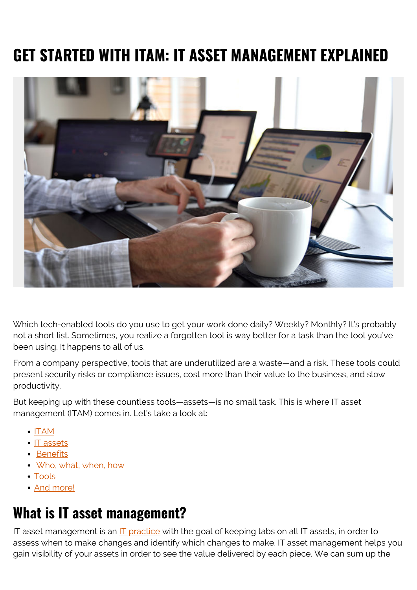# **GET STARTED WITH ITAM: IT ASSET MANAGEMENT EXPLAINED**



Which tech-enabled tools do you use to get your work done daily? Weekly? Monthly? It's probably not a short list. Sometimes, you realize a forgotten tool is way better for a task than the tool you've been using. It happens to all of us.

From a company perspective, tools that are underutilized are a waste—and a risk. These tools could present security risks or compliance issues, cost more than their value to the business, and slow productivity.

But keeping up with these countless tools—assets—is no small task. This is where IT asset management (ITAM) comes in. Let's take a look at:

- $\bullet$  [ITAM](#page--1-0)
- [IT assets](#page--1-0)
- [Benefits](#page--1-0)
- [Who, what, when, how](#page--1-0)
- [Tools](#page--1-0)
- [And more!](#page--1-0)

## **What is IT asset management?**

IT asset management is an **IT** practice with the goal of keeping tabs on all IT assets, in order to assess when to make changes and identify which changes to make. IT asset management helps you gain visibility of your assets in order to see the value delivered by each piece. We can sum up the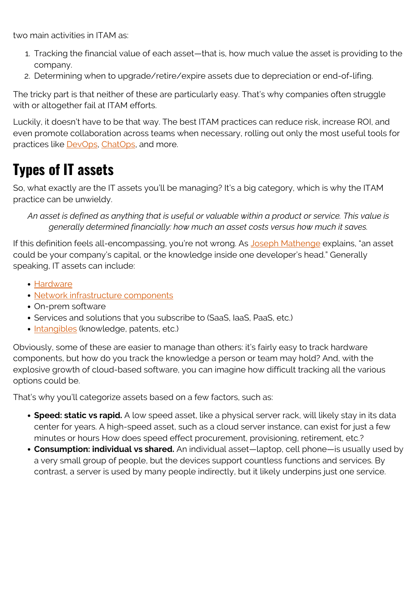two main activities in ITAM as:

- 1. Tracking the financial value of each asset—that is, how much value the asset is providing to the company.
- 2. Determining when to upgrade/retire/expire assets due to depreciation or end-of-lifing.

The tricky part is that neither of these are particularly easy. That's why companies often struggle with or altogether fail at ITAM efforts.

Luckily, it doesn't have to be that way. The best ITAM practices can reduce risk, increase ROI, and even promote collaboration across teams when necessary, rolling out only the most useful tools for practices like [DevOps](https://blogs.bmc.com/blogs/devops-enterprises/), [ChatOps](https://blogs.bmc.com/blogs/chatops/), and more.

# **Types of IT assets**

So, what exactly are the IT assets you'll be managing? It's a big category, which is why the ITAM practice can be unwieldy.

*An asset is defined as anything that is useful or valuable within a product or service. This value is generally determined financially: how much an asset costs versus how much it saves.*

If this definition feels all-encompassing, you're not wrong. As [Joseph Mathenge](https://blogs.bmc.com/blogs/asset-management-vs-configuration-management/) explains, "an asset could be your company's capital, or the knowledge inside one developer's head." Generally speaking, IT assets can include:

- [Hardware](https://blogs.bmc.com/blogs/what-is-it-infrastructure-and-what-are-its-components/)
- [Network infrastructure components](https://blogs.bmc.com/blogs/what-is-it-infrastructure-and-what-are-its-components/)
- On-prem software
- Services and solutions that you subscribe to (SaaS, IaaS, PaaS, etc.)
- [Intangibles](https://www.weforum.org/agenda/2015/04/do-you-understand-your-companys-knowledge-assets/) (knowledge, patents, etc.)

Obviously, some of these are easier to manage than others: it's fairly easy to track hardware components, but how do you track the knowledge a person or team may hold? And, with the explosive growth of cloud-based software, you can imagine how difficult tracking all the various options could be.

That's why you'll categorize assets based on a few factors, such as:

- **Speed: static vs rapid.** A low speed asset, like a physical server rack, will likely stay in its data center for years. A high-speed asset, such as a cloud server instance, can exist for just a few minutes or hours How does speed effect procurement, provisioning, retirement, etc.?
- **Consumption: individual vs shared.** An individual asset—laptop, cell phone—is usually used by a very small group of people, but the devices support countless functions and services. By contrast, a server is used by many people indirectly, but it likely underpins just one service.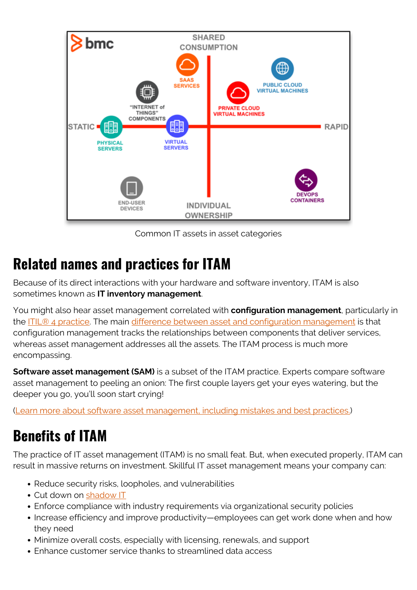

Common IT assets in asset categories

## **Related names and practices for ITAM**

Because of its direct interactions with your hardware and software inventory, ITAM is also sometimes known as **IT inventory management**.

You might also hear asset management correlated with **configuration management**, particularly in the [ITIL® 4 practice.](https://blogs.bmc.com/blogs/itil-asset-configuration-management/) The main [difference between asset and configuration management](https://blogs.bmc.com/blogs/asset-management-vs-configuration-management/) is that configuration management tracks the relationships between components that deliver services, whereas asset management addresses all the assets. The ITAM process is much more encompassing.

**Software asset management (SAM)** is a subset of the ITAM practice. Experts compare software asset management to peeling an onion: The first couple layers get your eyes watering, but the deeper you go, you'll soon start crying!

([Learn more about software asset management, including mistakes and best practices.\)](https://blogs.bmc.com/blogs/software-asset-management/)

# **Benefits of ITAM**

The practice of IT asset management (ITAM) is no small feat. But, when executed properly, ITAM can result in massive returns on investment. Skillful IT asset management means your company can:

- Reduce security risks, loopholes, and vulnerabilities
- Cut down on [shadow IT](https://blogs.bmc.com/blogs/shadow-it/)
- Enforce compliance with industry requirements via organizational security policies
- Increase efficiency and improve productivity—employees can get work done when and how they need
- Minimize overall costs, especially with licensing, renewals, and support
- Enhance customer service thanks to streamlined data access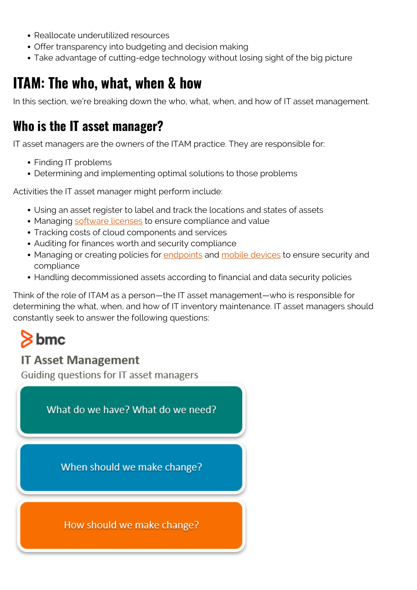- Reallocate underutilized resources
- Offer transparency into budgeting and decision making
- Take advantage of cutting-edge technology without losing sight of the big picture

## **ITAM: The who, what, when & how**

In this section, we're breaking down the who, what, when, and how of IT asset management.

### **Who is the IT asset manager?**

IT asset managers are the owners of the ITAM practice. They are responsible for:

- Finding IT problems
- Determining and implementing optimal solutions to those problems

Activities the IT asset manager might perform include:

- Using an asset register to label and track the locations and states of assets
- Managing [software licenses](https://blogs.bmc.com/blogs/software-license-management/) to ensure compliance and value
- Tracking costs of cloud components and services
- Auditing for finances worth and security compliance
- Managing or creating policies for [endpoints](https://blogs.bmc.com/blogs/endpoints/) and [mobile devices](https://blogs.bmc.com/blogs/mdm-mobile-device-management/) to ensure security and compliance
- Handling decommissioned assets according to financial and data security policies

Think of the role of ITAM as a person—the IT asset management—who is responsible for determining the what, when, and how of IT inventory maintenance. IT asset managers should constantly seek to answer the following questions:

# $8$  bmc

#### **IT Asset Management**

Guiding questions for IT asset managers

What do we have? What do we need? When should we make change? How should we make change?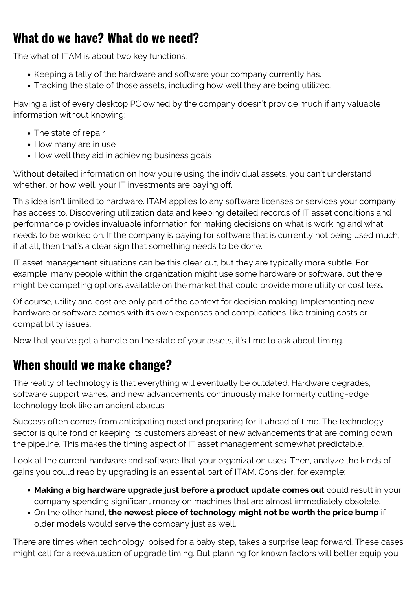### **What do we have? What do we need?**

The what of ITAM is about two key functions:

- Keeping a tally of the hardware and software your company currently has.
- Tracking the state of those assets, including how well they are being utilized.

Having a list of every desktop PC owned by the company doesn't provide much if any valuable information without knowing:

- The state of repair
- How many are in use
- How well they aid in achieving business goals

Without detailed information on how you're using the individual assets, you can't understand whether, or how well, your IT investments are paying off.

This idea isn't limited to hardware. ITAM applies to any software licenses or services your company has access to. Discovering utilization data and keeping detailed records of IT asset conditions and performance provides invaluable information for making decisions on what is working and what needs to be worked on. If the company is paying for software that is currently not being used much, if at all, then that's a clear sign that something needs to be done.

IT asset management situations can be this clear cut, but they are typically more subtle. For example, many people within the organization might use some hardware or software, but there might be competing options available on the market that could provide more utility or cost less.

Of course, utility and cost are only part of the context for decision making. Implementing new hardware or software comes with its own expenses and complications, like training costs or compatibility issues.

Now that you've got a handle on the state of your assets, it's time to ask about timing.

## **When should we make change?**

The reality of technology is that everything will eventually be outdated. Hardware degrades, software support wanes, and new advancements continuously make formerly cutting-edge technology look like an ancient abacus.

Success often comes from anticipating need and preparing for it ahead of time. The technology sector is quite fond of keeping its customers abreast of new advancements that are coming down the pipeline. This makes the timing aspect of IT asset management somewhat predictable.

Look at the current hardware and software that your organization uses. Then, analyze the kinds of gains you could reap by upgrading is an essential part of ITAM. Consider, for example:

- **Making a big hardware upgrade just before a product update comes out** could result in your company spending significant money on machines that are almost immediately obsolete.
- On the other hand, **the newest piece of technology might not be worth the price bump** if older models would serve the company just as well.

There are times when technology, poised for a baby step, takes a surprise leap forward. These cases might call for a reevaluation of upgrade timing. But planning for known factors will better equip you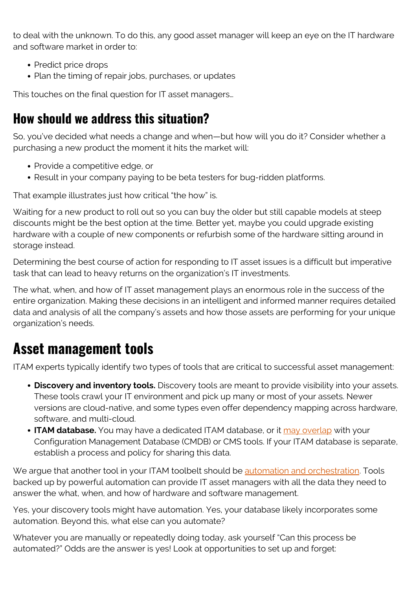to deal with the unknown. To do this, any good asset manager will keep an eye on the IT hardware and software market in order to:

- Predict price drops
- Plan the timing of repair jobs, purchases, or updates

This touches on the final question for IT asset managers…

## **How should we address this situation?**

So, you've decided what needs a change and when—but how will you do it? Consider whether a purchasing a new product the moment it hits the market will:

- Provide a competitive edge, or
- Result in your company paying to be beta testers for bug-ridden platforms.

That example illustrates just how critical "the how" is.

Waiting for a new product to roll out so you can buy the older but still capable models at steep discounts might be the best option at the time. Better yet, maybe you could upgrade existing hardware with a couple of new components or refurbish some of the hardware sitting around in storage instead.

Determining the best course of action for responding to IT asset issues is a difficult but imperative task that can lead to heavy returns on the organization's IT investments.

The what, when, and how of IT asset management plays an enormous role in the success of the entire organization. Making these decisions in an intelligent and informed manner requires detailed data and analysis of all the company's assets and how those assets are performing for your unique organization's needs.

## **Asset management tools**

ITAM experts typically identify two types of tools that are critical to successful asset management:

- **Discovery and inventory tools.** Discovery tools are meant to provide visibility into your assets. These tools crawl your IT environment and pick up many or most of your assets. Newer versions are cloud-native, and some types even offer dependency mapping across hardware, software, and multi-cloud.
- **ITAM database.** You may have a dedicated ITAM database, or it [may overlap](https://www.joetheitguy.com/the-a-z-of-itam/) with your Configuration Management Database (CMDB) or CMS tools. If your ITAM database is separate, establish a process and policy for sharing this data.

We argue that another tool in your ITAM toolbelt should be [automation and orchestration](https://blogs.bmc.com/blogs/it-orchestration-vs-automation-whats-the-difference/). Tools backed up by powerful automation can provide IT asset managers with all the data they need to answer the what, when, and how of hardware and software management.

Yes, your discovery tools might have automation. Yes, your database likely incorporates some automation. Beyond this, what else can you automate?

Whatever you are manually or repeatedly doing today, ask yourself "Can this process be automated?" Odds are the answer is yes! Look at opportunities to set up and forget: